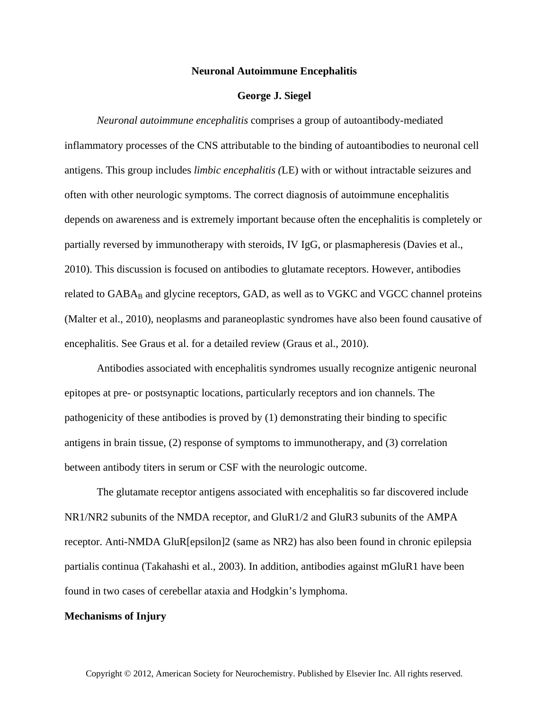### **Neuronal Autoimmune Encephalitis**

## **George J. Siegel**

*Neuronal autoimmune encephalitis* comprises a group of autoantibody-mediated inflammatory processes of the CNS attributable to the binding of autoantibodies to neuronal cell antigens. This group includes *limbic encephalitis (*LE) with or without intractable seizures and often with other neurologic symptoms. The correct diagnosis of autoimmune encephalitis depends on awareness and is extremely important because often the encephalitis is completely or partially reversed by immunotherapy with steroids, IV IgG, or plasmapheresis (Davies et al., 2010). This discussion is focused on antibodies to glutamate receptors. However, antibodies related to GABA<sub>B</sub> and glycine receptors, GAD, as well as to VGKC and VGCC channel proteins (Malter et al., 2010), neoplasms and paraneoplastic syndromes have also been found causative of encephalitis. See Graus et al. for a detailed review (Graus et al., 2010).

Antibodies associated with encephalitis syndromes usually recognize antigenic neuronal epitopes at pre- or postsynaptic locations, particularly receptors and ion channels. The pathogenicity of these antibodies is proved by (1) demonstrating their binding to specific antigens in brain tissue, (2) response of symptoms to immunotherapy, and (3) correlation between antibody titers in serum or CSF with the neurologic outcome.

The glutamate receptor antigens associated with encephalitis so far discovered include NR1/NR2 subunits of the NMDA receptor, and GluR1/2 and GluR3 subunits of the AMPA receptor. Anti-NMDA GluR[epsilon]2 (same as NR2) has also been found in chronic epilepsia partialis continua (Takahashi et al., 2003). In addition, antibodies against mGluR1 have been found in two cases of cerebellar ataxia and Hodgkin's lymphoma.

#### **Mechanisms of Injury**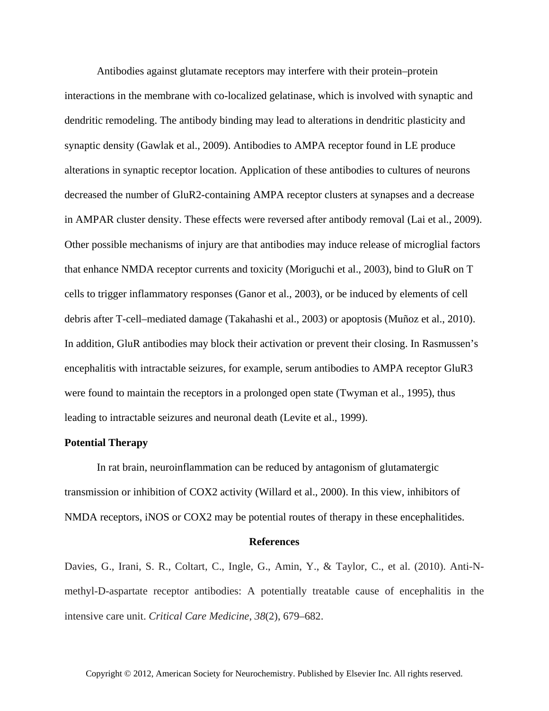Antibodies against glutamate receptors may interfere with their protein–protein interactions in the membrane with co-localized gelatinase, which is involved with synaptic and dendritic remodeling. The antibody binding may lead to alterations in dendritic plasticity and synaptic density (Gawlak et al., 2009). Antibodies to AMPA receptor found in LE produce alterations in synaptic receptor location. Application of these antibodies to cultures of neurons decreased the number of GluR2-containing AMPA receptor clusters at synapses and a decrease in AMPAR cluster density. These effects were reversed after antibody removal (Lai et al., 2009). Other possible mechanisms of injury are that antibodies may induce release of microglial factors that enhance NMDA receptor currents and toxicity (Moriguchi et al., 2003), bind to GluR on T cells to trigger inflammatory responses (Ganor et al., 2003), or be induced by elements of cell debris after T-cell–mediated damage (Takahashi et al., 2003) or apoptosis (Muñoz et al., 2010). In addition, GluR antibodies may block their activation or prevent their closing. In Rasmussen's encephalitis with intractable seizures, for example, serum antibodies to AMPA receptor GluR3 were found to maintain the receptors in a prolonged open state (Twyman et al., 1995), thus leading to intractable seizures and neuronal death (Levite et al., 1999).

# **Potential Therapy**

In rat brain, neuroinflammation can be reduced by antagonism of glutamatergic transmission or inhibition of COX2 activity (Willard et al., 2000). In this view, inhibitors of NMDA receptors, iNOS or COX2 may be potential routes of therapy in these encephalitides.

#### **References**

Davies, G., Irani, S. R., Coltart, C., Ingle, G., Amin, Y., & Taylor, C., et al. (2010). Anti-Nmethyl-D-aspartate receptor antibodies: A potentially treatable cause of encephalitis in the intensive care unit. *Critical Care Medicine*, *38*(2), 679–682.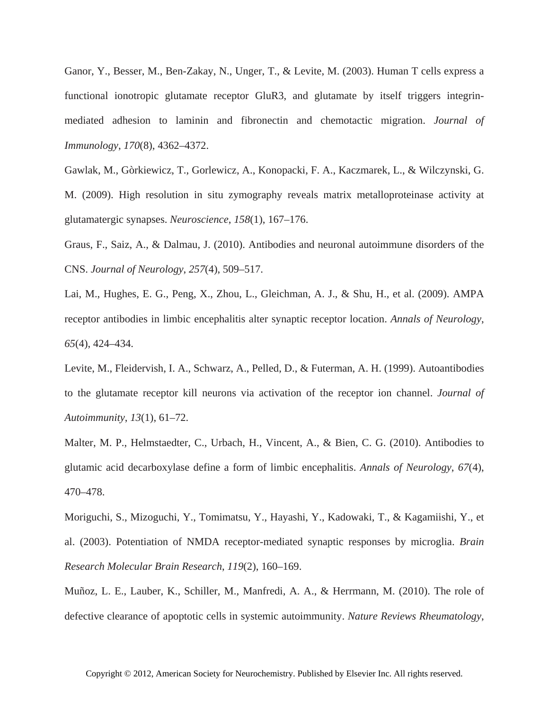Ganor, Y., Besser, M., Ben-Zakay, N., Unger, T., & Levite, M. (2003). Human T cells express a functional ionotropic glutamate receptor GluR3, and glutamate by itself triggers integrinmediated adhesion to laminin and fibronectin and chemotactic migration. *Journal of Immunology*, *170*(8), 4362–4372.

Gawlak, M., Gòrkiewicz, T., Gorlewicz, A., Konopacki, F. A., Kaczmarek, L., & Wilczynski, G. M. (2009). High resolution in situ zymography reveals matrix metalloproteinase activity at glutamatergic synapses. *Neuroscience*, *158*(1), 167–176.

Graus, F., Saiz, A., & Dalmau, J. (2010). Antibodies and neuronal autoimmune disorders of the CNS. *Journal of Neurology*, *257*(4), 509–517.

Lai, M., Hughes, E. G., Peng, X., Zhou, L., Gleichman, A. J., & Shu, H., et al. (2009). AMPA receptor antibodies in limbic encephalitis alter synaptic receptor location. *Annals of Neurology*, *65*(4), 424–434.

Levite, M., Fleidervish, I. A., Schwarz, A., Pelled, D., & Futerman, A. H. (1999). Autoantibodies to the glutamate receptor kill neurons via activation of the receptor ion channel. *Journal of Autoimmunity*, *13*(1), 61–72.

Malter, M. P., Helmstaedter, C., Urbach, H., Vincent, A., & Bien, C. G. (2010). Antibodies to glutamic acid decarboxylase define a form of limbic encephalitis. *Annals of Neurology*, *67*(4), 470–478.

Moriguchi, S., Mizoguchi, Y., Tomimatsu, Y., Hayashi, Y., Kadowaki, T., & Kagamiishi, Y., et al. (2003). Potentiation of NMDA receptor-mediated synaptic responses by microglia. *Brain Research Molecular Brain Research*, *119*(2), 160–169.

Muñoz, L. E., Lauber, K., Schiller, M., Manfredi, A. A., & Herrmann, M. (2010). The role of defective clearance of apoptotic cells in systemic autoimmunity. *Nature Reviews Rheumatology*,